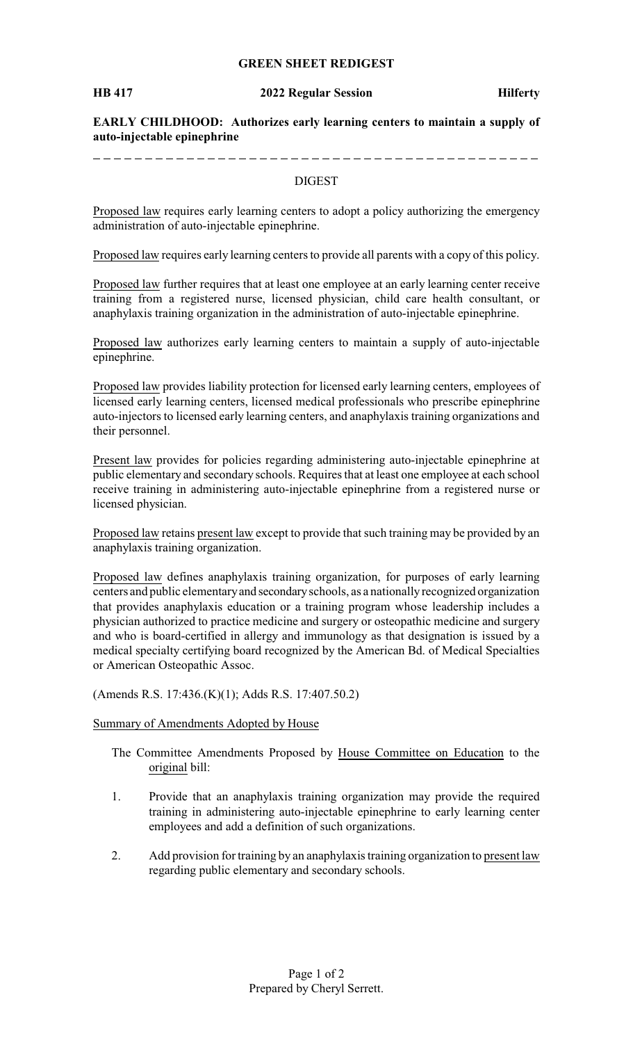## **GREEN SHEET REDIGEST**

### **HB 417 2022 Regular Session Hilferty**

**EARLY CHILDHOOD: Authorizes early learning centers to maintain a supply of auto-injectable epinephrine**

--------------

### DIGEST

Proposed law requires early learning centers to adopt a policy authorizing the emergency administration of auto-injectable epinephrine.

Proposed law requires early learning centers to provide all parents with a copy of this policy.

Proposed law further requires that at least one employee at an early learning center receive training from a registered nurse, licensed physician, child care health consultant, or anaphylaxis training organization in the administration of auto-injectable epinephrine.

Proposed law authorizes early learning centers to maintain a supply of auto-injectable epinephrine.

Proposed law provides liability protection for licensed early learning centers, employees of licensed early learning centers, licensed medical professionals who prescribe epinephrine auto-injectors to licensed early learning centers, and anaphylaxis training organizations and their personnel.

Present law provides for policies regarding administering auto-injectable epinephrine at public elementary and secondary schools. Requires that at least one employee at each school receive training in administering auto-injectable epinephrine from a registered nurse or licensed physician.

Proposed law retains present law except to provide that such training may be provided by an anaphylaxis training organization.

Proposed law defines anaphylaxis training organization, for purposes of early learning centers and public elementaryand secondaryschools, as a nationallyrecognized organization that provides anaphylaxis education or a training program whose leadership includes a physician authorized to practice medicine and surgery or osteopathic medicine and surgery and who is board-certified in allergy and immunology as that designation is issued by a medical specialty certifying board recognized by the American Bd. of Medical Specialties or American Osteopathic Assoc.

(Amends R.S. 17:436.(K)(1); Adds R.S. 17:407.50.2)

#### Summary of Amendments Adopted by House

The Committee Amendments Proposed by House Committee on Education to the original bill:

- 1. Provide that an anaphylaxis training organization may provide the required training in administering auto-injectable epinephrine to early learning center employees and add a definition of such organizations.
- 2. Add provision for training by an anaphylaxis training organization to present law regarding public elementary and secondary schools.